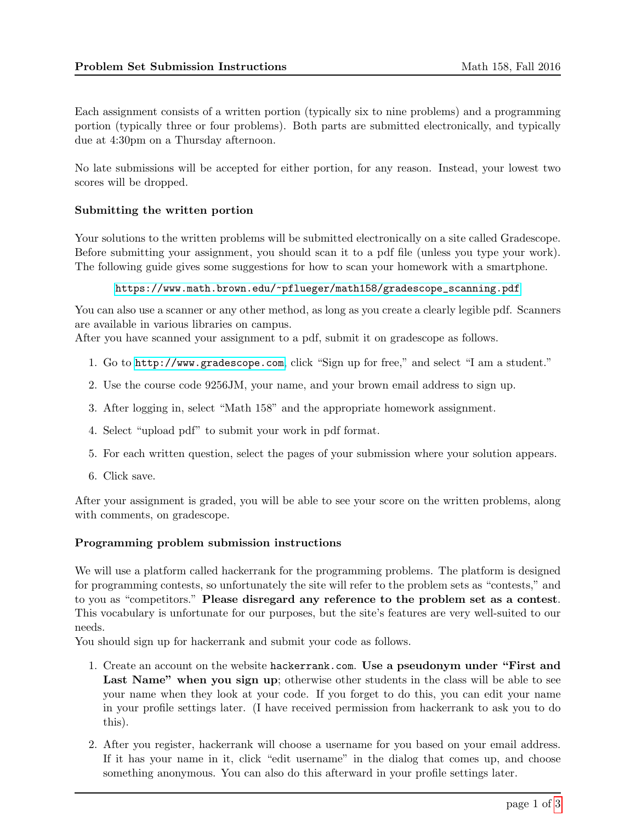Each assignment consists of a written portion (typically six to nine problems) and a programming portion (typically three or four problems). Both parts are submitted electronically, and typically due at 4:30pm on a Thursday afternoon.

No late submissions will be accepted for either portion, for any reason. Instead, your lowest two scores will be dropped.

## Submitting the written portion

Your solutions to the written problems will be submitted electronically on a site called Gradescope. Before submitting your assignment, you should scan it to a pdf file (unless you type your work). The following guide gives some suggestions for how to scan your homework with a smartphone.

## [https://www.math.brown.edu/~pflueger/math158/gradescope\\_scanning.pdf](https://www.math.brown.edu/~pflueger/math158/gradescope_scanning.pdf)

You can also use a scanner or any other method, as long as you create a clearly legible pdf. Scanners are available in various libraries on campus.

After you have scanned your assignment to a pdf, submit it on gradescope as follows.

- 1. Go to <http://www.gradescope.com>, click "Sign up for free," and select "I am a student."
- 2. Use the course code 9256JM, your name, and your brown email address to sign up.
- 3. After logging in, select "Math 158" and the appropriate homework assignment.
- 4. Select "upload pdf" to submit your work in pdf format.
- 5. For each written question, select the pages of your submission where your solution appears.
- 6. Click save.

After your assignment is graded, you will be able to see your score on the written problems, along with comments, on gradescope.

## Programming problem submission instructions

We will use a platform called hackerrank for the programming problems. The platform is designed for programming contests, so unfortunately the site will refer to the problem sets as "contests," and to you as "competitors." Please disregard any reference to the problem set as a contest. This vocabulary is unfortunate for our purposes, but the site's features are very well-suited to our needs.

You should sign up for hackerrank and submit your code as follows.

- 1. Create an account on the website hackerrank.com. Use a pseudonym under "First and Last Name" when you sign up; otherwise other students in the class will be able to see your name when they look at your code. If you forget to do this, you can edit your name in your profile settings later. (I have received permission from hackerrank to ask you to do this).
- 2. After you register, hackerrank will choose a username for you based on your email address. If it has your name in it, click "edit username" in the dialog that comes up, and choose something anonymous. You can also do this afterward in your profile settings later.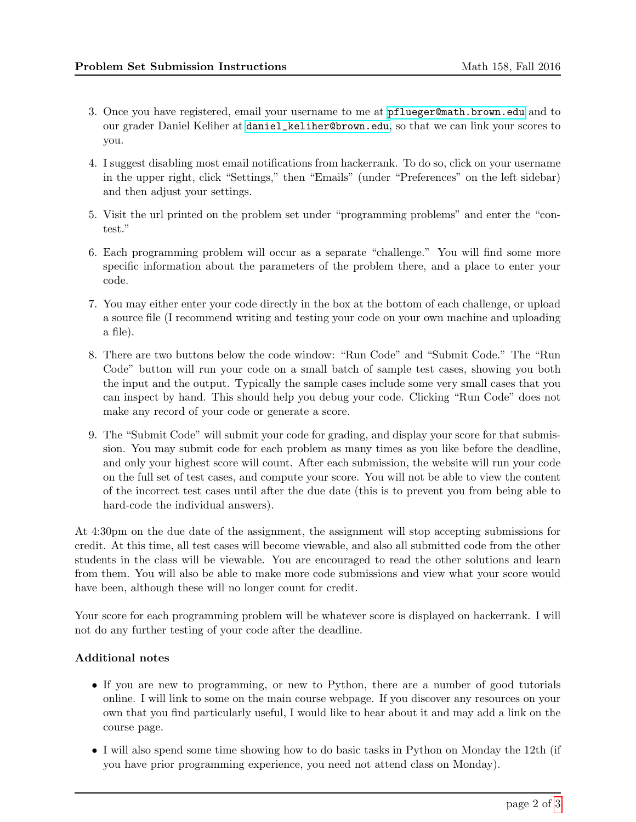- 3. Once you have registered, email your username to me at <pflueger@math.brown.edu> and to our grader Daniel Keliher at [daniel\\_keliher@brown.edu](daniel_keliher@brown.edu), so that we can link your scores to you.
- 4. I suggest disabling most email notifications from hackerrank. To do so, click on your username in the upper right, click "Settings," then "Emails" (under "Preferences" on the left sidebar) and then adjust your settings.
- 5. Visit the url printed on the problem set under "programming problems" and enter the "contest."
- 6. Each programming problem will occur as a separate "challenge." You will find some more specific information about the parameters of the problem there, and a place to enter your code.
- 7. You may either enter your code directly in the box at the bottom of each challenge, or upload a source file (I recommend writing and testing your code on your own machine and uploading a file).
- 8. There are two buttons below the code window: "Run Code" and "Submit Code." The "Run Code" button will run your code on a small batch of sample test cases, showing you both the input and the output. Typically the sample cases include some very small cases that you can inspect by hand. This should help you debug your code. Clicking "Run Code" does not make any record of your code or generate a score.
- 9. The "Submit Code" will submit your code for grading, and display your score for that submission. You may submit code for each problem as many times as you like before the deadline, and only your highest score will count. After each submission, the website will run your code on the full set of test cases, and compute your score. You will not be able to view the content of the incorrect test cases until after the due date (this is to prevent you from being able to hard-code the individual answers).

At 4:30pm on the due date of the assignment, the assignment will stop accepting submissions for credit. At this time, all test cases will become viewable, and also all submitted code from the other students in the class will be viewable. You are encouraged to read the other solutions and learn from them. You will also be able to make more code submissions and view what your score would have been, although these will no longer count for credit.

Your score for each programming problem will be whatever score is displayed on hackerrank. I will not do any further testing of your code after the deadline.

## Additional notes

- If you are new to programming, or new to Python, there are a number of good tutorials online. I will link to some on the main course webpage. If you discover any resources on your own that you find particularly useful, I would like to hear about it and may add a link on the course page.
- I will also spend some time showing how to do basic tasks in Python on Monday the 12th (if you have prior programming experience, you need not attend class on Monday).